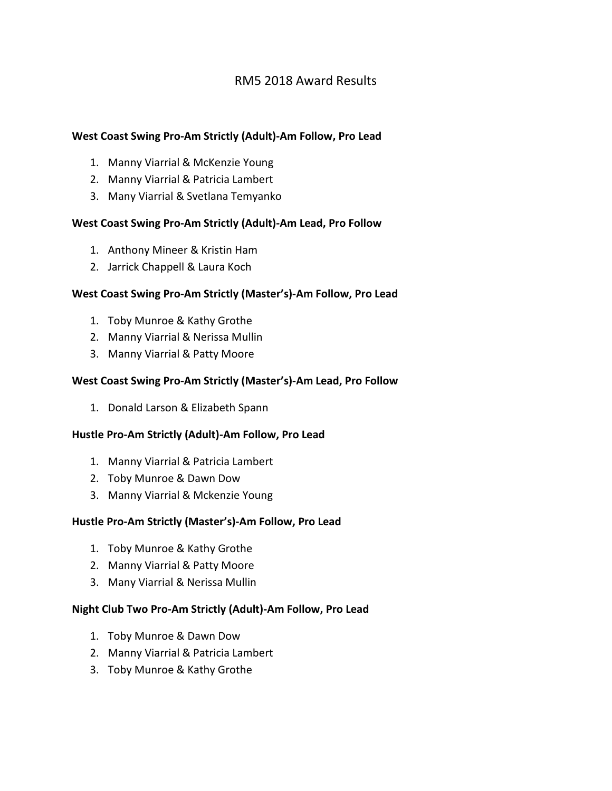# RM5 2018 Award Results

# **West Coast Swing Pro-Am Strictly (Adult)-Am Follow, Pro Lead**

- 1. Manny Viarrial & McKenzie Young
- 2. Manny Viarrial & Patricia Lambert
- 3. Many Viarrial & Svetlana Temyanko

# **West Coast Swing Pro-Am Strictly (Adult)-Am Lead, Pro Follow**

- 1. Anthony Mineer & Kristin Ham
- 2. Jarrick Chappell & Laura Koch

#### **West Coast Swing Pro-Am Strictly (Master's)-Am Follow, Pro Lead**

- 1. Toby Munroe & Kathy Grothe
- 2. Manny Viarrial & Nerissa Mullin
- 3. Manny Viarrial & Patty Moore

# **West Coast Swing Pro-Am Strictly (Master's)-Am Lead, Pro Follow**

1. Donald Larson & Elizabeth Spann

#### **Hustle Pro-Am Strictly (Adult)-Am Follow, Pro Lead**

- 1. Manny Viarrial & Patricia Lambert
- 2. Toby Munroe & Dawn Dow
- 3. Manny Viarrial & Mckenzie Young

#### **Hustle Pro-Am Strictly (Master's)-Am Follow, Pro Lead**

- 1. Toby Munroe & Kathy Grothe
- 2. Manny Viarrial & Patty Moore
- 3. Many Viarrial & Nerissa Mullin

#### **Night Club Two Pro-Am Strictly (Adult)-Am Follow, Pro Lead**

- 1. Toby Munroe & Dawn Dow
- 2. Manny Viarrial & Patricia Lambert
- 3. Toby Munroe & Kathy Grothe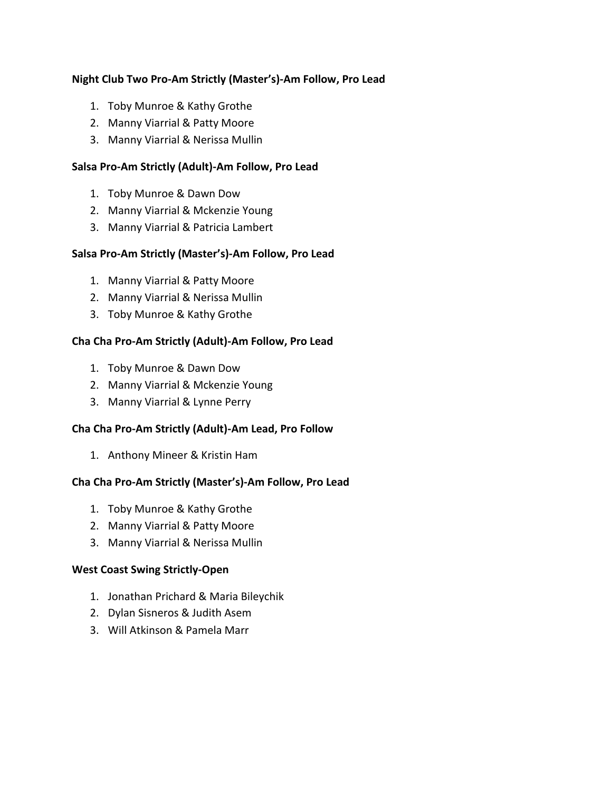# **Night Club Two Pro-Am Strictly (Master's)-Am Follow, Pro Lead**

- 1. Toby Munroe & Kathy Grothe
- 2. Manny Viarrial & Patty Moore
- 3. Manny Viarrial & Nerissa Mullin

#### **Salsa Pro-Am Strictly (Adult)-Am Follow, Pro Lead**

- 1. Toby Munroe & Dawn Dow
- 2. Manny Viarrial & Mckenzie Young
- 3. Manny Viarrial & Patricia Lambert

#### **Salsa Pro-Am Strictly (Master's)-Am Follow, Pro Lead**

- 1. Manny Viarrial & Patty Moore
- 2. Manny Viarrial & Nerissa Mullin
- 3. Toby Munroe & Kathy Grothe

# **Cha Cha Pro-Am Strictly (Adult)-Am Follow, Pro Lead**

- 1. Toby Munroe & Dawn Dow
- 2. Manny Viarrial & Mckenzie Young
- 3. Manny Viarrial & Lynne Perry

#### **Cha Cha Pro-Am Strictly (Adult)-Am Lead, Pro Follow**

1. Anthony Mineer & Kristin Ham

#### **Cha Cha Pro-Am Strictly (Master's)-Am Follow, Pro Lead**

- 1. Toby Munroe & Kathy Grothe
- 2. Manny Viarrial & Patty Moore
- 3. Manny Viarrial & Nerissa Mullin

#### **West Coast Swing Strictly-Open**

- 1. Jonathan Prichard & Maria Bileychik
- 2. Dylan Sisneros & Judith Asem
- 3. Will Atkinson & Pamela Marr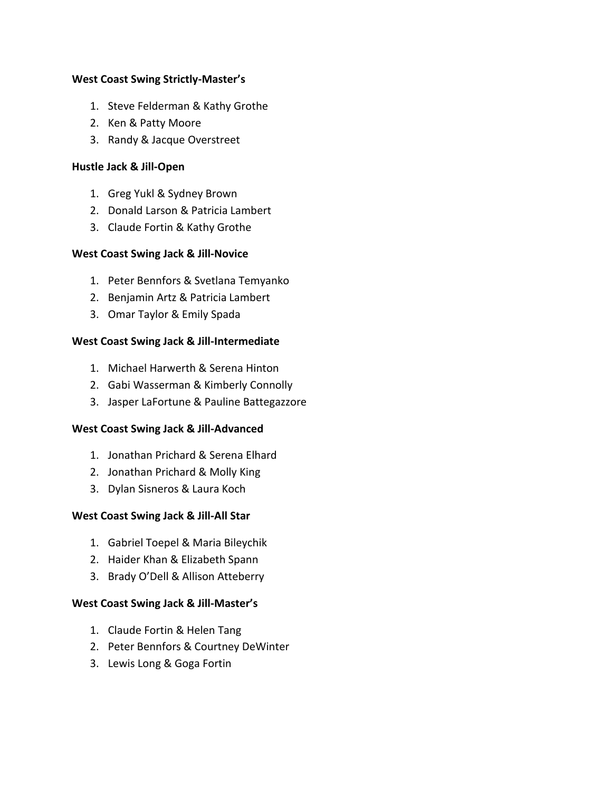#### **West Coast Swing Strictly-Master's**

- 1. Steve Felderman & Kathy Grothe
- 2. Ken & Patty Moore
- 3. Randy & Jacque Overstreet

# **Hustle Jack & Jill-Open**

- 1. Greg Yukl & Sydney Brown
- 2. Donald Larson & Patricia Lambert
- 3. Claude Fortin & Kathy Grothe

# **West Coast Swing Jack & Jill-Novice**

- 1. Peter Bennfors & Svetlana Temyanko
- 2. Benjamin Artz & Patricia Lambert
- 3. Omar Taylor & Emily Spada

# **West Coast Swing Jack & Jill-Intermediate**

- 1. Michael Harwerth & Serena Hinton
- 2. Gabi Wasserman & Kimberly Connolly
- 3. Jasper LaFortune & Pauline Battegazzore

# **West Coast Swing Jack & Jill-Advanced**

- 1. Jonathan Prichard & Serena Elhard
- 2. Jonathan Prichard & Molly King
- 3. Dylan Sisneros & Laura Koch

#### **West Coast Swing Jack & Jill-All Star**

- 1. Gabriel Toepel & Maria Bileychik
- 2. Haider Khan & Elizabeth Spann
- 3. Brady O'Dell & Allison Atteberry

#### **West Coast Swing Jack & Jill-Master's**

- 1. Claude Fortin & Helen Tang
- 2. Peter Bennfors & Courtney DeWinter
- 3. Lewis Long & Goga Fortin